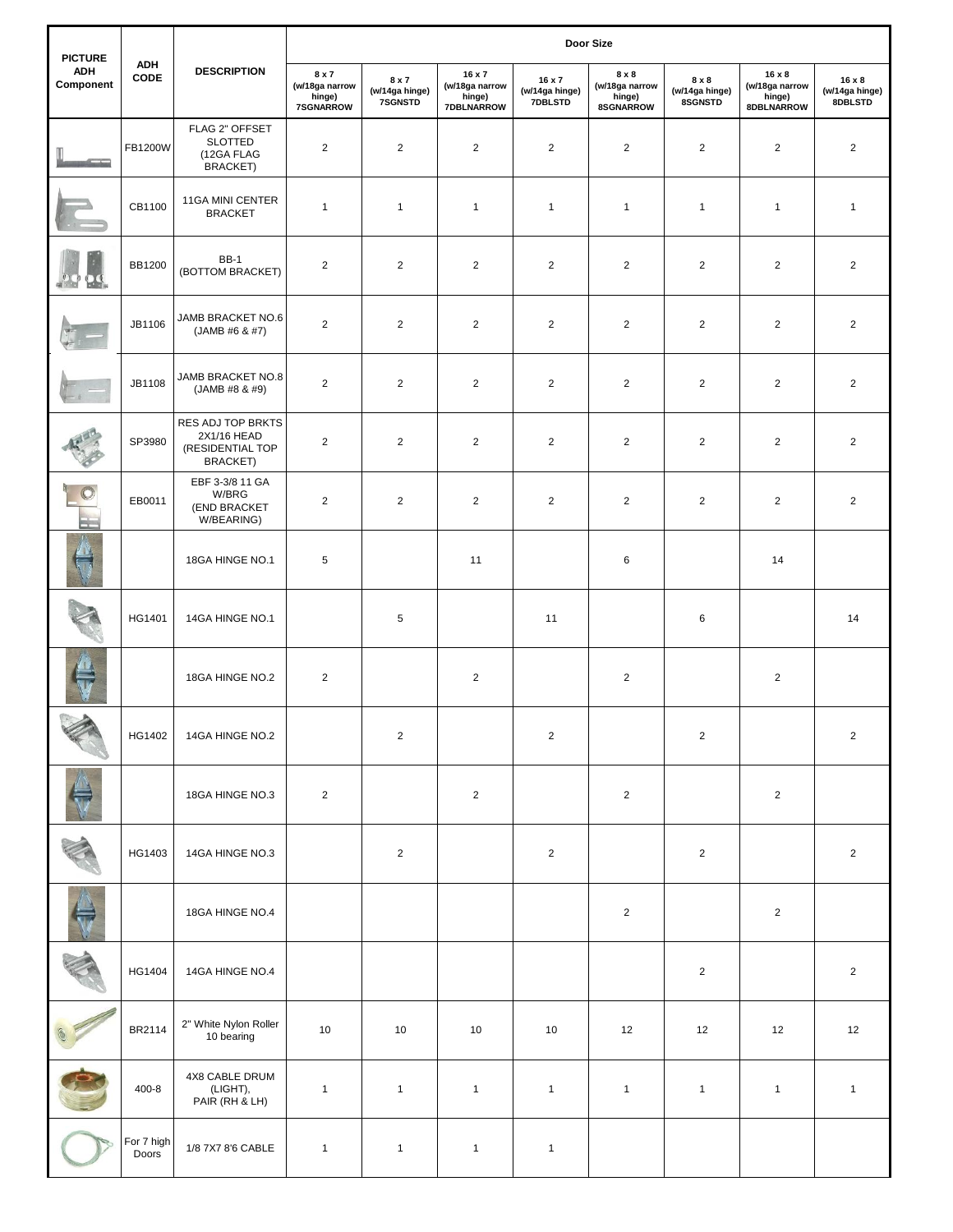| <b>PICTURE</b><br><b>ADH</b><br>Component | <b>ADH</b><br>CODE  | <b>DESCRIPTION</b>                                                      | <b>Door Size</b>                               |                                    |                                                         |                                     |                                                |                                    |                                                         |                                            |
|-------------------------------------------|---------------------|-------------------------------------------------------------------------|------------------------------------------------|------------------------------------|---------------------------------------------------------|-------------------------------------|------------------------------------------------|------------------------------------|---------------------------------------------------------|--------------------------------------------|
|                                           |                     |                                                                         | 8 x 7<br>(w/18ga narrow<br>hinge)<br>7SGNARROW | 8 x 7<br>(w/14ga hinge)<br>7SGNSTD | 16 x 7<br>(w/18ga narrow<br>hinge)<br><b>7DBLNARROW</b> | 16 x 7<br>(w/14ga hinge)<br>7DBLSTD | 8 x 8<br>(w/18ga narrow<br>hinge)<br>8SGNARROW | 8 x 8<br>(w/14ga hinge)<br>8SGNSTD | $16 \times 8$<br>(w/18ga narrow<br>hinge)<br>8DBLNARROW | $16 \times 8$<br>(w/14ga hinge)<br>8DBLSTD |
|                                           | FB1200W             | FLAG 2" OFFSET<br><b>SLOTTED</b><br>(12GA FLAG<br><b>BRACKET)</b>       | $\overline{2}$                                 | $\overline{2}$                     | $\overline{2}$                                          | $\overline{2}$                      | $\overline{2}$                                 | $\overline{2}$                     | 2                                                       | $\overline{2}$                             |
|                                           | CB1100              | 11GA MINI CENTER<br><b>BRACKET</b>                                      | $\mathbf{1}$                                   | $\mathbf{1}$                       | $\mathbf{1}$                                            | $\mathbf{1}$                        | $\mathbf{1}$                                   | $\mathbf{1}$                       | $\mathbf{1}$                                            | $\mathbf{1}$                               |
|                                           | <b>BB1200</b>       | <b>BB-1</b><br>(BOTTOM BRACKET)                                         | $\overline{2}$                                 | $\overline{2}$                     | $\overline{c}$                                          | $\overline{2}$                      | $\overline{2}$                                 | $\overline{c}$                     | $\overline{2}$                                          | $\overline{2}$                             |
|                                           | JB1106              | JAMB BRACKET NO.6<br>(JAMB #6 & #7)                                     | $\overline{2}$                                 | $\overline{2}$                     | $\overline{2}$                                          | $\overline{2}$                      | $\overline{2}$                                 | $\overline{2}$                     | $\overline{2}$                                          | $\overline{2}$                             |
|                                           | JB1108              | JAMB BRACKET NO.8<br>(JAMB #8 & #9)                                     | $\overline{2}$                                 | $\overline{2}$                     | $\overline{2}$                                          | $\overline{2}$                      | $\overline{2}$                                 | $\overline{2}$                     | $\overline{2}$                                          | $\overline{2}$                             |
|                                           | SP3980              | RES ADJ TOP BRKTS<br>2X1/16 HEAD<br>(RESIDENTIAL TOP<br><b>BRACKET)</b> | $\overline{2}$                                 | $\overline{2}$                     | $\overline{2}$                                          | $\overline{2}$                      | $\overline{2}$                                 | $\overline{c}$                     | 2                                                       | $\overline{2}$                             |
| 一                                         | EB0011              | EBF 3-3/8 11 GA<br>W/BRG<br>(END BRACKET<br>W/BEARING)                  | $\overline{2}$                                 | $\overline{2}$                     | $\overline{2}$                                          | $\overline{2}$                      | $\overline{2}$                                 | $\overline{\mathbf{c}}$            | $\overline{2}$                                          | $\overline{2}$                             |
|                                           |                     | 18GA HINGE NO.1                                                         | 5                                              |                                    | 11                                                      |                                     | 6                                              |                                    | 14                                                      |                                            |
|                                           | HG1401              | 14GA HINGE NO.1                                                         |                                                | $\,$ 5 $\,$                        |                                                         | 11                                  |                                                | 6                                  |                                                         | 14                                         |
|                                           |                     | 18GA HINGE NO.2                                                         | $\overline{2}$                                 |                                    | $\overline{2}$                                          |                                     | $\overline{2}$                                 |                                    | $\overline{2}$                                          |                                            |
| P                                         | HG1402              | 14GA HINGE NO.2                                                         |                                                | $\overline{2}$                     |                                                         | $\overline{2}$                      |                                                | $\overline{2}$                     |                                                         | $\overline{2}$                             |
|                                           |                     | 18GA HINGE NO.3                                                         | $\overline{2}$                                 |                                    | $\overline{c}$                                          |                                     | $\overline{2}$                                 |                                    | $\overline{2}$                                          |                                            |
|                                           | HG1403              | 14GA HINGE NO.3                                                         |                                                | $\overline{2}$                     |                                                         | $\overline{2}$                      |                                                | $\overline{2}$                     |                                                         | $\overline{c}$                             |
|                                           |                     | 18GA HINGE NO.4                                                         |                                                |                                    |                                                         |                                     | $\overline{2}$                                 |                                    | $\overline{2}$                                          |                                            |
|                                           | HG1404              | 14GA HINGE NO.4                                                         |                                                |                                    |                                                         |                                     |                                                | $\overline{\mathbf{c}}$            |                                                         | $\overline{2}$                             |
|                                           | BR2114              | 2" White Nylon Roller<br>10 bearing                                     | 10                                             | 10                                 | 10                                                      | 10                                  | 12                                             | 12                                 | 12                                                      | $12$                                       |
|                                           | $400 - 8$           | 4X8 CABLE DRUM<br>(LIGHT),<br>PAIR (RH & LH)                            | $\mathbf{1}$                                   | $\mathbf{1}$                       | $\mathbf{1}$                                            | $\mathbf{1}$                        | $\mathbf{1}$                                   | $\mathbf{1}$                       | $\mathbf{1}$                                            | $\mathbf{1}$                               |
|                                           | For 7 high<br>Doors | 1/8 7X7 8'6 CABLE                                                       | $\mathbf{1}$                                   | $\mathbf{1}$                       | $\mathbf{1}$                                            | $\mathbf{1}$                        |                                                |                                    |                                                         |                                            |